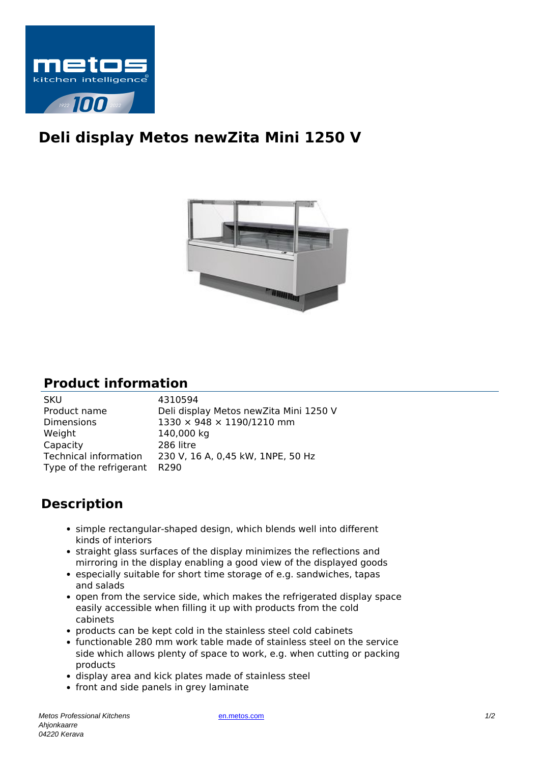

## **Deli display Metos newZita Mini 1250 V**



## **Product information**

| <b>SKU</b>                   | 4310594                                |
|------------------------------|----------------------------------------|
| Product name                 | Deli display Metos newZita Mini 1250 V |
| <b>Dimensions</b>            | 1330 × 948 × 1190/1210 mm              |
| Weight                       | 140,000 kg                             |
| Capacity                     | 286 litre                              |
| Technical information        | 230 V, 16 A, 0,45 kW, 1NPE, 50 Hz      |
| Type of the refrigerant R290 |                                        |
|                              |                                        |

## **Description**

- simple rectangular-shaped design, which blends well into different kinds of interiors
- straight glass surfaces of the display minimizes the reflections and mirroring in the display enabling a good view of the displayed goods
- especially suitable for short time storage of e.g. sandwiches, tapas and salads
- open from the service side, which makes the refrigerated display space easily accessible when filling it up with products from the cold cabinets
- products can be kept cold in the stainless steel cold cabinets
- functionable 280 mm work table made of stainless steel on the service side which allows plenty of space to work, e.g. when cutting or packing products
- display area and kick plates made of stainless steel
- front and side panels in grey laminate